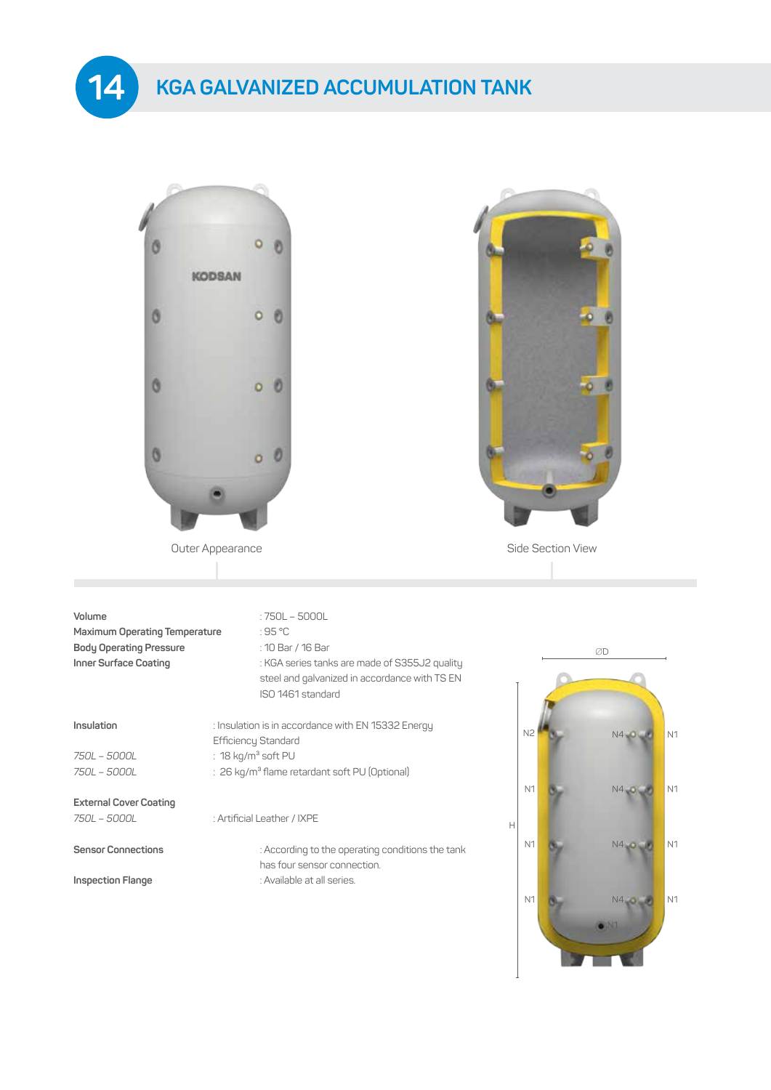## **KGA GALVANIZED ACCUMULATION TANK**

**14**